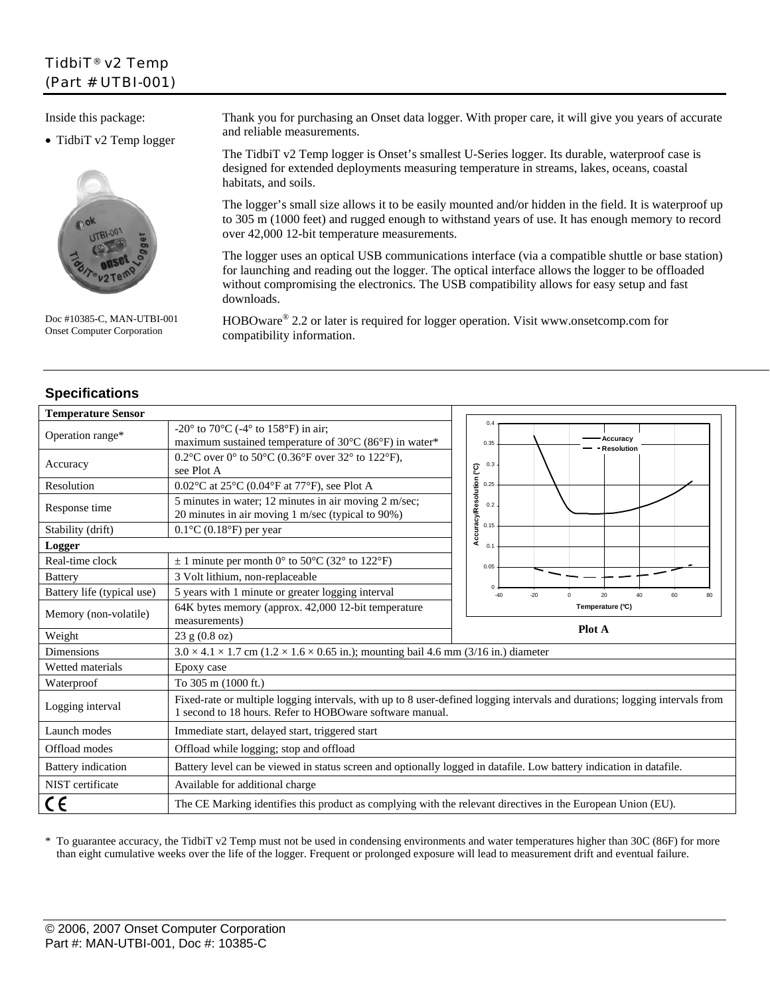# TidbiT® v2 Temp (Part # UTBI-001)

Inside this package:

• TidbiT v2 Temp logger



Doc #10385-C, MAN-UTBI-001 Onset Computer Corporation

**Specifications** 

Thank you for purchasing an Onset data logger. With proper care, it will give you years of accurate and reliable measurements.

The TidbiT v2 Temp logger is Onset's smallest U-Series logger. Its durable, waterproof case is designed for extended deployments measuring temperature in streams, lakes, oceans, coastal habitats, and soils.

The logger's small size allows it to be easily mounted and/or hidden in the field. It is waterproof up to 305 m (1000 feet) and rugged enough to withstand years of use. It has enough memory to record over 42,000 12-bit temperature measurements.

The logger uses an optical USB communications interface (via a compatible shuttle or base station) for launching and reading out the logger. The optical interface allows the logger to be offloaded without compromising the electronics. The USB compatibility allows for easy setup and fast downloads.

HOBOware® 2.2 or later is required for logger operation. Visit www.onsetcomp.com for compatibility information.

| <b>Temperature Sensor</b>  |                                                                                                                                                                                         |                                                                  |  |
|----------------------------|-----------------------------------------------------------------------------------------------------------------------------------------------------------------------------------------|------------------------------------------------------------------|--|
| Operation range*           | -20 $\degree$ to 70 $\degree$ C (-4 $\degree$ to 158 $\degree$ F) in air;<br>maximum sustained temperature of $30^{\circ}$ C (86°F) in water*                                           | 0.4<br>Accuracy<br>0.35<br>Resolution                            |  |
| Accuracy                   | 0.2°C over 0° to 50°C (0.36°F over 32° to 122°F),<br>see Plot A                                                                                                                         | 0.3                                                              |  |
| Resolution                 | $0.02$ °C at 25°C (0.04°F at 77°F), see Plot A                                                                                                                                          | 0.25                                                             |  |
| Response time              | 5 minutes in water; 12 minutes in air moving 2 m/sec;<br>20 minutes in air moving 1 m/sec (typical to 90%)                                                                              | Accuracy/Resolution (°C)<br>0.2                                  |  |
| Stability (drift)          | $0.1$ °C $(0.18$ °F $)$ per year                                                                                                                                                        | 0.15                                                             |  |
| Logger                     |                                                                                                                                                                                         | $\Omega$ .                                                       |  |
| Real-time clock            | $\pm$ 1 minute per month 0° to 50°C (32° to 122°F)                                                                                                                                      | 0.05                                                             |  |
| <b>Battery</b>             | 3 Volt lithium, non-replaceable                                                                                                                                                         |                                                                  |  |
| Battery life (typical use) | 5 years with 1 minute or greater logging interval                                                                                                                                       | $^{\circ}$<br>$-40$<br>$-20$<br>20<br>40<br>60<br>80<br>$\Omega$ |  |
| Memory (non-volatile)      | 64K bytes memory (approx. 42,000 12-bit temperature<br>measurements)                                                                                                                    | Temperature (°C)                                                 |  |
| Weight                     | 23 g (0.8 oz)                                                                                                                                                                           | Plot A                                                           |  |
| <b>Dimensions</b>          | $3.0 \times 4.1 \times 1.7$ cm ( $1.2 \times 1.6 \times 0.65$ in.); mounting bail 4.6 mm (3/16 in.) diameter                                                                            |                                                                  |  |
| Wetted materials           | Epoxy case                                                                                                                                                                              |                                                                  |  |
| Waterproof                 | To 305 m (1000 ft.)                                                                                                                                                                     |                                                                  |  |
| Logging interval           | Fixed-rate or multiple logging intervals, with up to 8 user-defined logging intervals and durations; logging intervals from<br>1 second to 18 hours. Refer to HOBOware software manual. |                                                                  |  |
| Launch modes               | Immediate start, delayed start, triggered start                                                                                                                                         |                                                                  |  |
| Offload modes              | Offload while logging; stop and offload                                                                                                                                                 |                                                                  |  |
| <b>Battery</b> indication  | Battery level can be viewed in status screen and optionally logged in datafile. Low battery indication in datafile.                                                                     |                                                                  |  |
| NIST certificate           | Available for additional charge                                                                                                                                                         |                                                                  |  |
| C€                         | The CE Marking identifies this product as complying with the relevant directives in the European Union (EU).                                                                            |                                                                  |  |

\* To guarantee accuracy, the TidbiT v2 Temp must not be used in condensing environments and water temperatures higher than 30C (86F) for more than eight cumulative weeks over the life of the logger. Frequent or prolonged exposure will lead to measurement drift and eventual failure.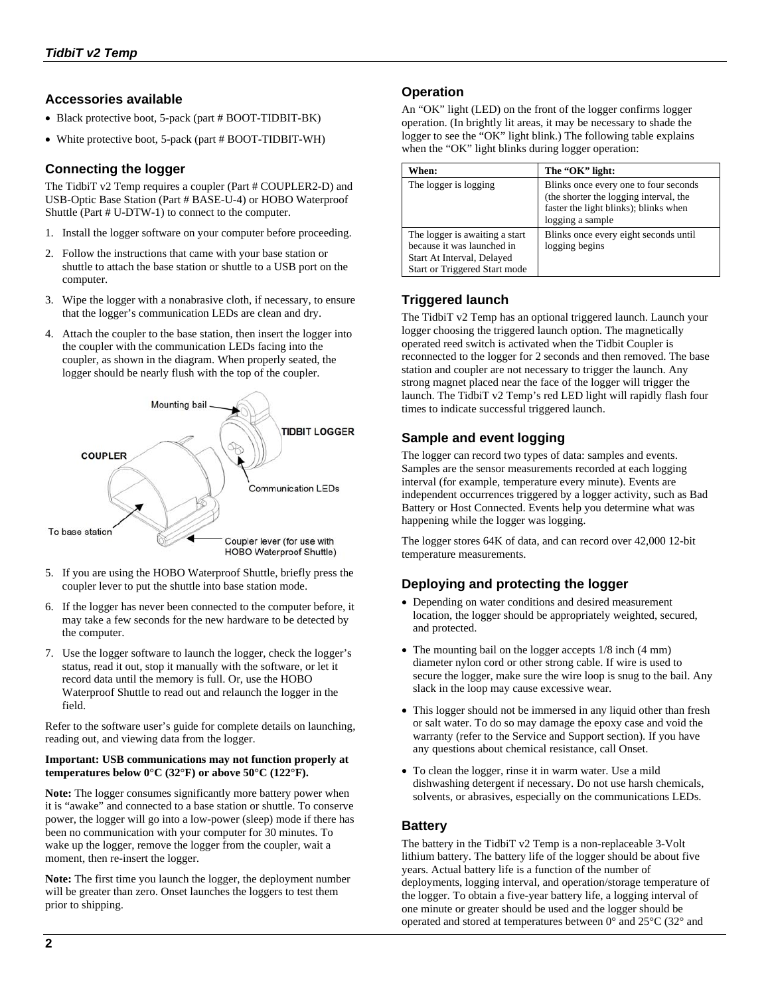### **Accessories available**

- Black protective boot, 5-pack (part # BOOT-TIDBIT-BK)
- White protective boot, 5-pack (part # BOOT-TIDBIT-WH)

## **Connecting the logger**

The TidbiT v2 Temp requires a coupler (Part # COUPLER2-D) and USB-Optic Base Station (Part # BASE-U-4) or HOBO Waterproof Shuttle (Part # U-DTW-1) to connect to the computer.

- 1. Install the logger software on your computer before proceeding.
- 2. Follow the instructions that came with your base station or shuttle to attach the base station or shuttle to a USB port on the computer.
- 3. Wipe the logger with a nonabrasive cloth, if necessary, to ensure that the logger's communication LEDs are clean and dry.
- 4. Attach the coupler to the base station, then insert the logger into the coupler with the communication LEDs facing into the coupler, as shown in the diagram. When properly seated, the logger should be nearly flush with the top of the coupler.



- 5. If you are using the HOBO Waterproof Shuttle, briefly press the coupler lever to put the shuttle into base station mode.
- 6. If the logger has never been connected to the computer before, it may take a few seconds for the new hardware to be detected by the computer.
- 7. Use the logger software to launch the logger, check the logger's status, read it out, stop it manually with the software, or let it record data until the memory is full. Or, use the HOBO Waterproof Shuttle to read out and relaunch the logger in the field.

Refer to the software user's guide for complete details on launching, reading out, and viewing data from the logger.

#### **Important: USB communications may not function properly at temperatures below**  $0^{\circ}$ **C (32°F)** or above 50°C (122°F).

**Note:** The logger consumes significantly more battery power when it is "awake" and connected to a base station or shuttle. To conserve power, the logger will go into a low-power (sleep) mode if there has been no communication with your computer for 30 minutes. To wake up the logger, remove the logger from the coupler, wait a moment, then re-insert the logger.

**Note:** The first time you launch the logger, the deployment number will be greater than zero. Onset launches the loggers to test them prior to shipping.

## **Operation**

An "OK" light (LED) on the front of the logger confirms logger operation. (In brightly lit areas, it may be necessary to shade the logger to see the "OK" light blink.) The following table explains when the "OK" light blinks during logger operation:

| When:                                                                                                                       | The "OK" light:                                                                                                                              |
|-----------------------------------------------------------------------------------------------------------------------------|----------------------------------------------------------------------------------------------------------------------------------------------|
| The logger is logging                                                                                                       | Blinks once every one to four seconds<br>(the shorter the logging interval, the<br>faster the light blinks); blinks when<br>logging a sample |
| The logger is awaiting a start<br>because it was launched in<br>Start At Interval, Delayed<br>Start or Triggered Start mode | Blinks once every eight seconds until<br>logging begins                                                                                      |

## **Triggered launch**

The TidbiT v2 Temp has an optional triggered launch. Launch your logger choosing the triggered launch option. The magnetically operated reed switch is activated when the Tidbit Coupler is reconnected to the logger for 2 seconds and then removed. The base station and coupler are not necessary to trigger the launch. Any strong magnet placed near the face of the logger will trigger the launch. The TidbiT v2 Temp's red LED light will rapidly flash four times to indicate successful triggered launch.

### **Sample and event logging**

The logger can record two types of data: samples and events. Samples are the sensor measurements recorded at each logging interval (for example, temperature every minute). Events are independent occurrences triggered by a logger activity, such as Bad Battery or Host Connected. Events help you determine what was happening while the logger was logging.

The logger stores 64K of data, and can record over 42,000 12-bit temperature measurements.

## **Deploying and protecting the logger**

- Depending on water conditions and desired measurement location, the logger should be appropriately weighted, secured, and protected.
- The mounting bail on the logger accepts  $1/8$  inch (4 mm) diameter nylon cord or other strong cable. If wire is used to secure the logger, make sure the wire loop is snug to the bail. Any slack in the loop may cause excessive wear.
- This logger should not be immersed in any liquid other than fresh or salt water. To do so may damage the epoxy case and void the warranty (refer to the Service and Support section). If you have any questions about chemical resistance, call Onset.
- To clean the logger, rinse it in warm water. Use a mild dishwashing detergent if necessary. Do not use harsh chemicals, solvents, or abrasives, especially on the communications LEDs.

## **Battery**

The battery in the TidbiT v2 Temp is a non-replaceable 3-Volt lithium battery. The battery life of the logger should be about five years. Actual battery life is a function of the number of deployments, logging interval, and operation/storage temperature of the logger. To obtain a five-year battery life, a logging interval of one minute or greater should be used and the logger should be operated and stored at temperatures between 0° and 25°C (32° and